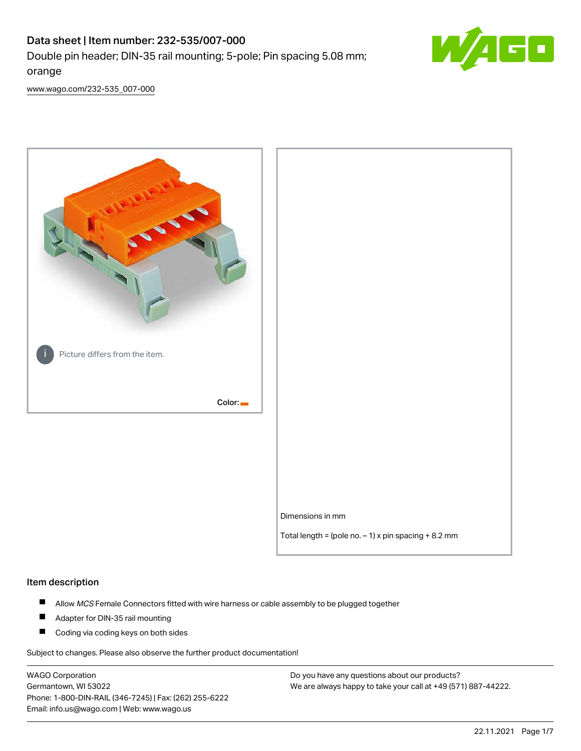# Data sheet | Item number: 232-535/007-000 Double pin header; DIN-35 rail mounting; 5-pole; Pin spacing 5.08 mm; orange



[www.wago.com/232-535\\_007-000](http://www.wago.com/232-535_007-000)



### Item description

- $\blacksquare$ Allow MCS Female Connectors fitted with wire harness or cable assembly to be plugged together
- $\blacksquare$ Adapter for DIN-35 rail mounting
- $\blacksquare$ Coding via coding keys on both sides

Subject to changes. Please also observe the further product documentation!

WAGO Corporation Germantown, WI 53022 Phone: 1-800-DIN-RAIL (346-7245) | Fax: (262) 255-6222 Email: info.us@wago.com | Web: www.wago.us

Do you have any questions about our products? We are always happy to take your call at +49 (571) 887-44222.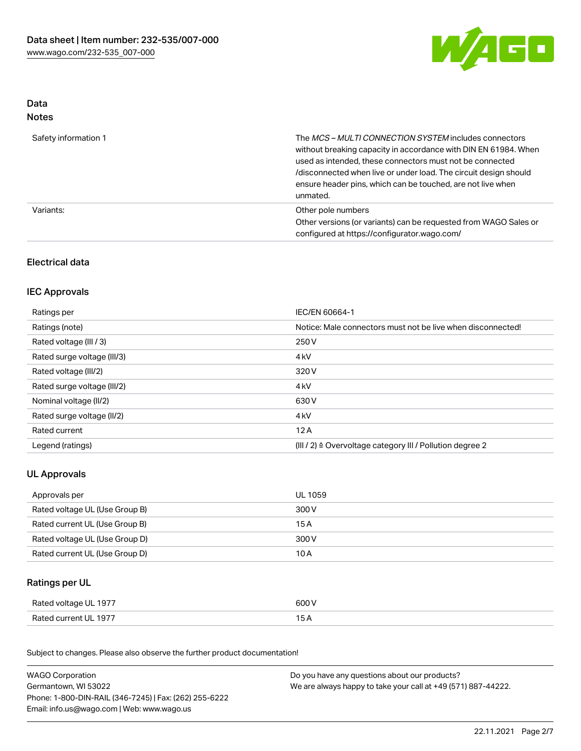

## Data Notes

| Safety information 1 | The <i>MCS – MULTI CONNECTION SYSTEM</i> includes connectors<br>without breaking capacity in accordance with DIN EN 61984. When<br>used as intended, these connectors must not be connected<br>/disconnected when live or under load. The circuit design should<br>ensure header pins, which can be touched, are not live when<br>unmated. |
|----------------------|--------------------------------------------------------------------------------------------------------------------------------------------------------------------------------------------------------------------------------------------------------------------------------------------------------------------------------------------|
| Variants:            | Other pole numbers<br>Other versions (or variants) can be requested from WAGO Sales or<br>configured at https://configurator.wago.com/                                                                                                                                                                                                     |

# Electrical data

## IEC Approvals

| Ratings per                 | IEC/EN 60664-1                                                        |
|-----------------------------|-----------------------------------------------------------------------|
| Ratings (note)              | Notice: Male connectors must not be live when disconnected!           |
| Rated voltage (III / 3)     | 250 V                                                                 |
| Rated surge voltage (III/3) | 4 <sub>k</sub> V                                                      |
| Rated voltage (III/2)       | 320 V                                                                 |
| Rated surge voltage (III/2) | 4 <sub>k</sub> V                                                      |
| Nominal voltage (II/2)      | 630 V                                                                 |
| Rated surge voltage (II/2)  | 4 <sub>k</sub> V                                                      |
| Rated current               | 12A                                                                   |
| Legend (ratings)            | $(III / 2)$ $\triangle$ Overvoltage category III / Pollution degree 2 |

# UL Approvals

| Approvals per                  | UL 1059 |
|--------------------------------|---------|
| Rated voltage UL (Use Group B) | 300 V   |
| Rated current UL (Use Group B) | 15 A    |
| Rated voltage UL (Use Group D) | 300 V   |
| Rated current UL (Use Group D) | 10 A    |

## Ratings per UL

| Rated voltage UL 1977 | 600 V |
|-----------------------|-------|
| Rated current UL 1977 |       |

Subject to changes. Please also observe the further product documentation!

| <b>WAGO Corporation</b>                                | Do you have any questions about our products?                 |  |
|--------------------------------------------------------|---------------------------------------------------------------|--|
| Germantown, WI 53022                                   | We are always happy to take your call at +49 (571) 887-44222. |  |
| Phone: 1-800-DIN-RAIL (346-7245)   Fax: (262) 255-6222 |                                                               |  |
| Email: info.us@wago.com   Web: www.wago.us             |                                                               |  |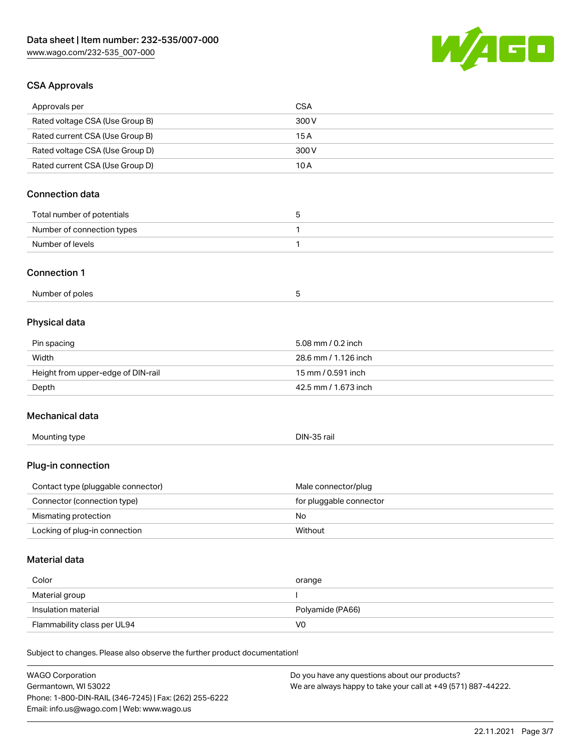

## CSA Approvals

| Approvals per                                                              | <b>CSA</b>                                    |
|----------------------------------------------------------------------------|-----------------------------------------------|
| Rated voltage CSA (Use Group B)                                            | 300 V                                         |
| Rated current CSA (Use Group B)                                            | 15A                                           |
| Rated voltage CSA (Use Group D)                                            | 300 V                                         |
| Rated current CSA (Use Group D)                                            | 10A                                           |
| <b>Connection data</b>                                                     |                                               |
|                                                                            |                                               |
| Total number of potentials                                                 | 5                                             |
| Number of connection types                                                 | 1                                             |
| Number of levels                                                           | 1                                             |
| <b>Connection 1</b>                                                        |                                               |
| Number of poles                                                            | 5                                             |
| Physical data                                                              |                                               |
| Pin spacing                                                                | 5.08 mm / 0.2 inch                            |
| Width                                                                      | 28.6 mm / 1.126 inch                          |
| Height from upper-edge of DIN-rail                                         | 15 mm / 0.591 inch                            |
| Depth                                                                      | 42.5 mm / 1.673 inch                          |
|                                                                            |                                               |
| Mechanical data                                                            |                                               |
| Mounting type                                                              | DIN-35 rail                                   |
| Plug-in connection                                                         |                                               |
| Contact type (pluggable connector)                                         | Male connector/plug                           |
| Connector (connection type)                                                | for pluggable connector                       |
| Mismating protection                                                       | No                                            |
| Locking of plug-in connection                                              | Without                                       |
| Material data                                                              |                                               |
| Color                                                                      |                                               |
|                                                                            | orange                                        |
| Material group<br>Insulation material                                      | Polyamide (PA66)                              |
| Flammability class per UL94                                                | V <sub>0</sub>                                |
|                                                                            |                                               |
| Subject to changes. Please also observe the further product documentation! |                                               |
| <b>WAGO Corporation</b>                                                    | Do you have any questions about our products? |

Germantown, WI 53022 Phone: 1-800-DIN-RAIL (346-7245) | Fax: (262) 255-6222 Email: info.us@wago.com | Web: www.wago.us

We are always happy to take your call at +49 (571) 887-44222.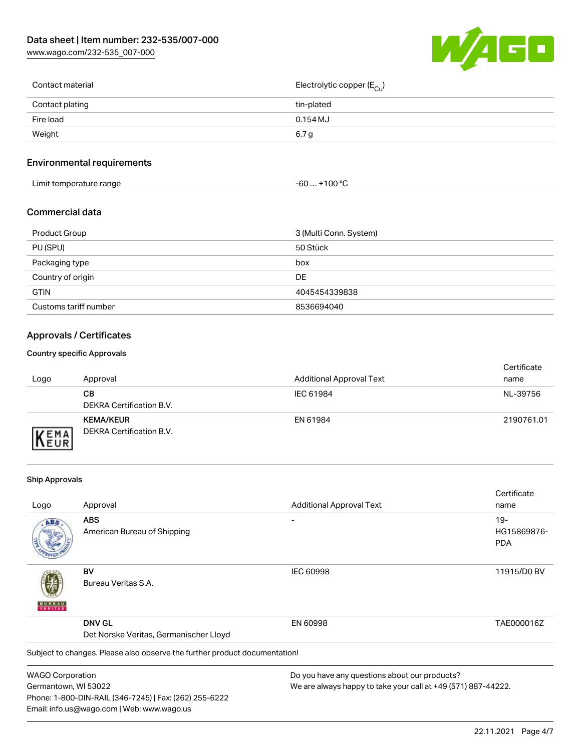[www.wago.com/232-535\\_007-000](http://www.wago.com/232-535_007-000)



| Contact material | Electrolytic copper (E <sub>Cu</sub> ) |
|------------------|----------------------------------------|
| Contact plating  | tin-plated                             |
| Fire load        | $0.154$ MJ                             |
| Weight           | 6.7 g                                  |
|                  |                                        |

## Environmental requirements

| Limit temperature range<br>the contract of the contract of the contract of the contract of the contract of the contract of the contract of | $. +100 °C$<br>-60 |
|--------------------------------------------------------------------------------------------------------------------------------------------|--------------------|
|--------------------------------------------------------------------------------------------------------------------------------------------|--------------------|

## Commercial data

| Product Group         | 3 (Multi Conn. System) |
|-----------------------|------------------------|
| PU (SPU)              | 50 Stück               |
| Packaging type        | box                    |
| Country of origin     | DE.                    |
| <b>GTIN</b>           | 4045454339838          |
| Customs tariff number | 8536694040             |

# Approvals / Certificates

#### Country specific Approvals

| Logo                      | Approval                                     | <b>Additional Approval Text</b> | Certificate<br>name |
|---------------------------|----------------------------------------------|---------------------------------|---------------------|
|                           | CВ<br>DEKRA Certification B.V.               | IEC 61984                       | NL-39756            |
| <b>EMA</b><br><b>NEUR</b> | <b>KEMA/KEUR</b><br>DEKRA Certification B.V. | EN 61984                        | 2190761.01          |

### Ship Approvals

Email: info.us@wago.com | Web: www.wago.us

|                         |                                                                            |                                                               | Certificate |
|-------------------------|----------------------------------------------------------------------------|---------------------------------------------------------------|-------------|
| Logo                    | Approval                                                                   | <b>Additional Approval Text</b>                               | name        |
| ABS                     | <b>ABS</b>                                                                 |                                                               | $19-$       |
|                         | American Bureau of Shipping                                                |                                                               | HG15869876- |
|                         |                                                                            |                                                               | <b>PDA</b>  |
|                         | BV                                                                         | <b>IEC 60998</b>                                              | 11915/D0 BV |
| VERITAS                 | Bureau Veritas S.A.                                                        |                                                               |             |
|                         | <b>DNV GL</b>                                                              | EN 60998                                                      | TAE000016Z  |
|                         | Det Norske Veritas, Germanischer Lloyd                                     |                                                               |             |
|                         | Subject to changes. Please also observe the further product documentation! |                                                               |             |
| <b>WAGO Corporation</b> |                                                                            | Do you have any questions about our products?                 |             |
| Germantown, WI 53022    |                                                                            | We are always happy to take your call at +49 (571) 887-44222. |             |
|                         | Phone: 1-800-DIN-RAIL (346-7245)   Fax: (262) 255-6222                     |                                                               |             |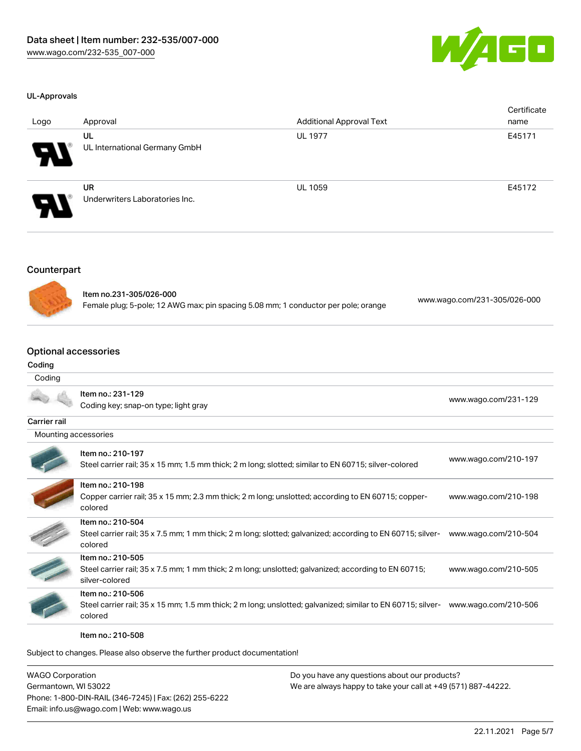

#### UL-Approvals

| Logo                  | Approval                                    | <b>Additional Approval Text</b> | Certificate<br>name |
|-----------------------|---------------------------------------------|---------------------------------|---------------------|
| 8                     | UL<br>UL International Germany GmbH         | <b>UL 1977</b>                  | E45171              |
| $\boldsymbol{\theta}$ | <b>UR</b><br>Underwriters Laboratories Inc. | <b>UL 1059</b>                  | E45172              |

## **Counterpart**



Item no.231-305/026-000 Female plug; 5-pole; 12 AWG max; pin spacing 5.08 mm; 1 conductor per pole; orange [www.wago.com/231-305/026-000](https://www.wago.com/231-305/026-000)

#### Optional accessories

#### Coding

#### Coding

|                      | Item no.: 231-129<br>Coding key; snap-on type; light gray                                                                                   | www.wago.com/231-129 |
|----------------------|---------------------------------------------------------------------------------------------------------------------------------------------|----------------------|
| Carrier rail         |                                                                                                                                             |                      |
| Mounting accessories |                                                                                                                                             |                      |
|                      | Item no.: 210-197<br>Steel carrier rail; 35 x 15 mm; 1.5 mm thick; 2 m long; slotted; similar to EN 60715; silver-colored                   | www.wago.com/210-197 |
|                      | Item no.: 210-198<br>Copper carrier rail; 35 x 15 mm; 2.3 mm thick; 2 m long; unslotted; according to EN 60715; copper-<br>colored          | www.wago.com/210-198 |
|                      | Item no.: 210-504<br>Steel carrier rail; 35 x 7.5 mm; 1 mm thick; 2 m long; slotted; galvanized; according to EN 60715; silver-<br>colored  | www.wago.com/210-504 |
|                      | Item no.: 210-505<br>Steel carrier rail; 35 x 7.5 mm; 1 mm thick; 2 m long; unslotted; galvanized; according to EN 60715;<br>silver-colored | www.wago.com/210-505 |
|                      | Item no.: 210-506<br>Steel carrier rail; 35 x 15 mm; 1.5 mm thick; 2 m long; unslotted; galvanized; similar to EN 60715; silver-<br>colored | www.wago.com/210-506 |
|                      | Item no.: 210-508                                                                                                                           |                      |

Subject to changes. Please also observe the further product documentation!

WAGO Corporation Germantown, WI 53022 Phone: 1-800-DIN-RAIL (346-7245) | Fax: (262) 255-6222 Email: info.us@wago.com | Web: www.wago.us

Do you have any questions about our products? We are always happy to take your call at +49 (571) 887-44222.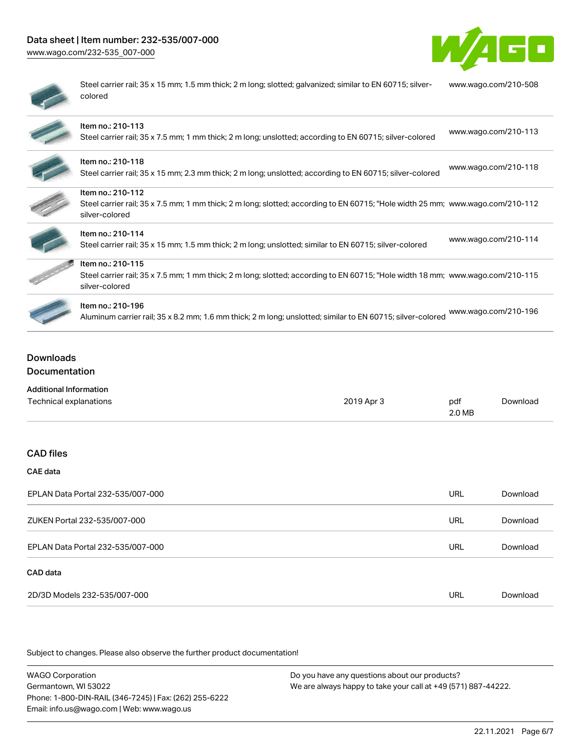# Data sheet | Item number: 232-535/007-000

[www.wago.com/232-535\\_007-000](http://www.wago.com/232-535_007-000)



| ı |  |
|---|--|
| ۰ |  |
| ۱ |  |
|   |  |
|   |  |

Steel carrier rail; 35 x 15 mm; 1.5 mm thick; 2 m long; slotted; galvanized; similar to EN 60715; silvercolored [www.wago.com/210-508](http://www.wago.com/210-508)

| Item no.: 210-113<br>Steel carrier rail; 35 x 7.5 mm; 1 mm thick; 2 m long; unslotted; according to EN 60715; silver-colored                                          | www.wago.com/210-113 |
|-----------------------------------------------------------------------------------------------------------------------------------------------------------------------|----------------------|
| Item no.: 210-118<br>Steel carrier rail; 35 x 15 mm; 2.3 mm thick; 2 m long; unslotted; according to EN 60715; silver-colored                                         | www.wago.com/210-118 |
| Item no.: 210-112<br>Steel carrier rail; 35 x 7.5 mm; 1 mm thick; 2 m long; slotted; according to EN 60715; "Hole width 25 mm; www.wago.com/210-112<br>silver-colored |                      |
| Item no.: 210-114<br>Steel carrier rail; 35 x 15 mm; 1.5 mm thick; 2 m long; unslotted; similar to EN 60715; silver-colored                                           | www.wago.com/210-114 |
| Item no.: 210-115<br>Steel carrier rail; 35 x 7.5 mm; 1 mm thick; 2 m long; slotted; according to EN 60715; "Hole width 18 mm; www.wago.com/210-115<br>silver-colored |                      |
| Item no.: 210-196<br>Aluminum carrier rail; 35 x 8.2 mm; 1.6 mm thick; 2 m long; unslotted; similar to EN 60715; silver-colored                                       | www.wago.com/210-196 |

# Downloads Documentation

| <b>Additional Information</b> |            |        |          |
|-------------------------------|------------|--------|----------|
| Technical explanations        | 2019 Apr 3 | pdf    | Download |
|                               |            | 2.0 MB |          |

## CAD files

#### CAE data

| EPLAN Data Portal 232-535/007-000 | URL | Download |
|-----------------------------------|-----|----------|
| ZUKEN Portal 232-535/007-000      | URL | Download |
| EPLAN Data Portal 232-535/007-000 | URL | Download |
| CAD data                          |     |          |
| 2D/3D Models 232-535/007-000      |     | Download |

Subject to changes. Please also observe the further product documentation!

WAGO Corporation Germantown, WI 53022 Phone: 1-800-DIN-RAIL (346-7245) | Fax: (262) 255-6222 Email: info.us@wago.com | Web: www.wago.us Do you have any questions about our products? We are always happy to take your call at +49 (571) 887-44222.